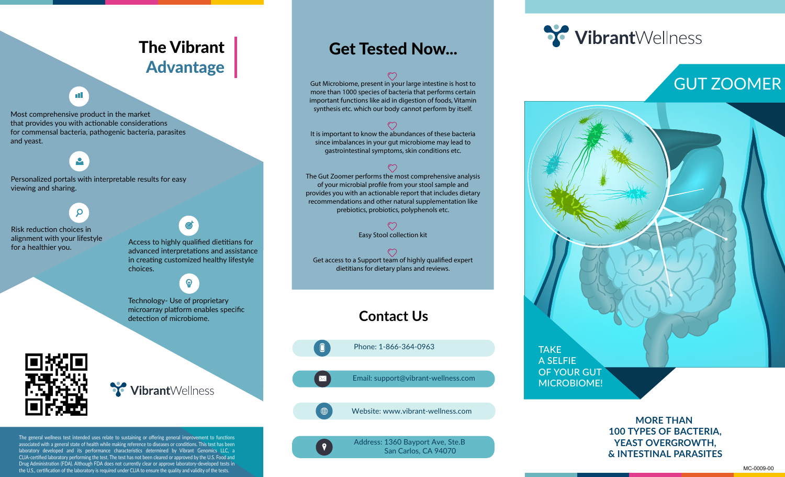## The Vibrant Advantage

#### пT

Most comprehensive product in the market that provides you with actionable considerations for commensal bacteria, pathogenic bacteria, parasites and yeast.

### $\mathbf{e}$

 $\mathsf{Q}$ 

Personalized portals with interpretable results for easy viewing and sharing.

Risk reduction choices in alignment with your lifestyle



angument with your mestyle<br>Access to highly qualified dietitians for<br>advanced interpretations and assistance advanced interpretations and assistance in creating customized healthy lifestyle choices.

 $\mathbf{\Omega}$ 

Technology- Use of proprietary microarray platform enables specific detection of microbiome.



VibrantWellness

The general wellness test intended uses relate to sustaining or offering general improvement to functions associated with a general state of health while making reference to diseases or conditions. This test has been laboratory developed and its performance characteristics determined by Vibrant Genomics LLC, a CLIA-certified laboratory performing the test. The test has not been cleared or approved by the U.S. Food and Drug Administration (FDA). Although FDA does not currently clear or approve laboratory-developed tests in the U.S., certification of the laboratory is required under CLIA to ensure the quality and validity of the tests.

### Get Tested Now...

Gut Microbiome, present in your large intestine is host to more than 1000 species of bacteria that performs certain important functions like aid in digestion of foods, Vitamin synthesis etc. which our body cannot perform by itself.

It is important to know the abundances of these bacteria since imbalances in your gut microbiome may lead to gastrointestinal symptoms, skin conditions etc.

The Gut Zoomer performs the most comprehensive analysis of your microbial profile from your stool sample and provides you with an actionable report that includes dietary recommendations and other natural supplementation like prebiotics, probiotics, polyphenols etc.

Easy Stool collection kit

Get access to a Support team of highly qualified expert dietitians for dietary plans and reviews.

### **Contact Us**

 $\blacksquare$ Phone: 1-866-364-0963

Email: support@vibrant-wellness.com



 $\mathbf{Q}$ 

Website: www.vibrant-wellness.com

Address: 1360 Bayport Ave, Ste.B San Carlos, CA 94070

# **Y** VibrantWellness

# GUT ZOOMER



#### **MORE THAN 100 TYPES OF BACTERIA, YEAST OVERGROWTH, & INTESTINAL PARASITES**

MC-0009-00